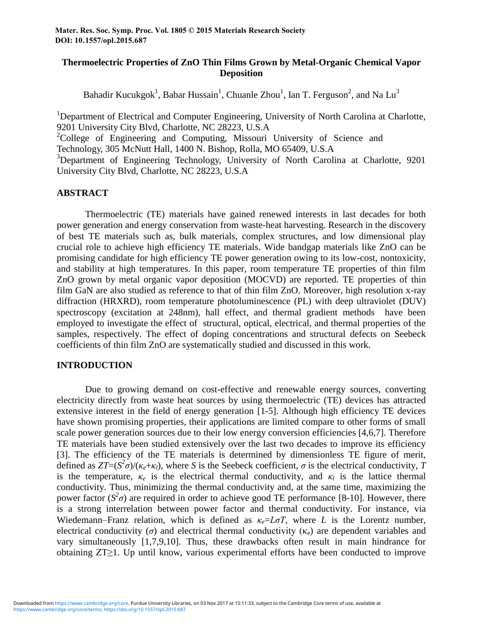# **Thermoelectric Properties of ZnO Thin Films Grown by Metal-Organic Chemical Vapor Deposition**

Bahadir Kucukgok<sup>1</sup>, Babar Hussain<sup>1</sup>, Chuanle Zhou<sup>1</sup>, Ian T. Ferguson<sup>2</sup>, and Na Lu<sup>3</sup>

<sup>1</sup>Department of Electrical and Computer Engineering, University of North Carolina at Charlotte, 9201 University City Blvd, Charlotte, NC 28223, U.S.A <sup>2</sup>College of Engineering and Computing, Missouri University of Science and Technology, 305 McNutt Hall, 1400 N. Bishop, Rolla, MO 65409, U.S.A <sup>3</sup>Department of Engineering Technology, University of North Carolina at Charlotte, 9201 University City Blvd, Charlotte, NC 28223, U.S.A

# **ABSTRACT**

Thermoelectric (TE) materials have gained renewed interests in last decades for both power generation and energy conservation from waste-heat harvesting. Research in the discovery of best TE materials such as, bulk materials, complex structures, and low dimensional play crucial role to achieve high efficiency TE materials. Wide bandgap materials like ZnO can be promising candidate for high efficiency TE power generation owing to its low-cost, nontoxicity, and stability at high temperatures. In this paper, room temperature TE properties of thin film ZnO grown by metal organic vapor deposition (MOCVD) are reported. TE properties of thin film GaN are also studied as reference to that of thin film ZnO. Moreover, high resolution x-ray diffraction (HRXRD), room temperature photoluminescence (PL) with deep ultraviolet (DUV) spectroscopy (excitation at 248nm), hall effect, and thermal gradient methods have been employed to investigate the effect of structural, optical, electrical, and thermal properties of the samples, respectively. The effect of doping concentrations and structural defects on Seebeck coefficients of thin film ZnO are systematically studied and discussed in this work.

### **INTRODUCTION**

Due to growing demand on cost-effective and renewable energy sources, converting electricity directly from waste heat sources by using thermoelectric (TE) devices has attracted extensive interest in the field of energy generation [1-5]. Although high efficiency TE devices have shown promising properties, their applications are limited compare to other forms of small scale power generation sources due to their low energy conversion efficiencies [4,6,7]. Therefore TE materials have been studied extensively over the last two decades to improve its efficiency [3]. The efficiency of the TE materials is determined by dimensionless TE figure of merit, defined as  $ZT=(S^2\sigma)/(K_e+\kappa_l)$ , where *S* is the Seebeck coefficient,  $\sigma$  is the electrical conductivity, *T* is the temperature,  $\kappa_e$  is the electrical thermal conductivity, and  $\kappa_l$  is the lattice thermal conductivity. Thus, minimizing the thermal conductivity and, at the same time, maximizing the power factor ( $S^2\sigma$ ) are required in order to achieve good TE performance [8-10]. However, there is a strong interrelation between power factor and thermal conductivity. For instance, via Wiedemann–Franz relation, which is defined as  $\kappa_e = L \sigma T$ , where *L* is the Lorentz number, electrical conductivity ( $\sigma$ ) and electrical thermal conductivity ( $\kappa_e$ ) are dependent variables and vary simultaneously [1,7,9,10]. Thus, these drawbacks often result in main hindrance for obtaining ZT≥1. Up until know, various experimental efforts have been conducted to improve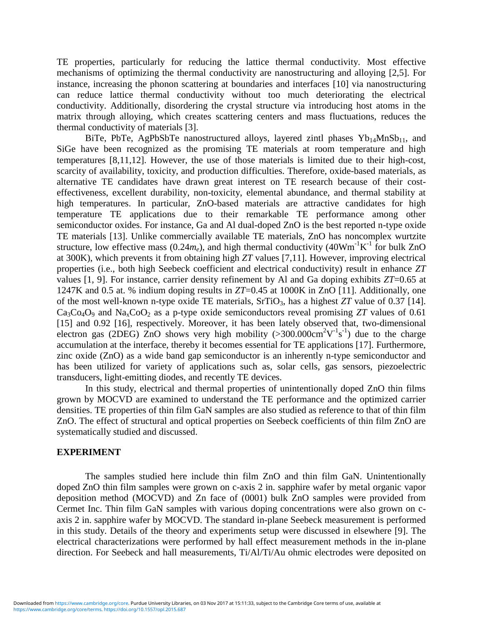TE properties, particularly for reducing the lattice thermal conductivity. Most effective mechanisms of optimizing the thermal conductivity are nanostructuring and alloying [2,5]. For instance, increasing the phonon scattering at boundaries and interfaces [10] via nanostructuring can reduce lattice thermal conductivity without too much deteriorating the electrical conductivity. Additionally, disordering the crystal structure via introducing host atoms in the matrix through alloying, which creates scattering centers and mass fluctuations, reduces the thermal conductivity of materials [3].

BiTe, PbTe, AgPbSbTe nanostructured alloys, layered zintl phases  $Yb_{14}MnSb_{11}$ , and SiGe have been recognized as the promising TE materials at room temperature and high temperatures [8,11,12]. However, the use of those materials is limited due to their high-cost, scarcity of availability, toxicity, and production difficulties. Therefore, oxide-based materials, as alternative TE candidates have drawn great interest on TE research because of their costeffectiveness, excellent durability, non-toxicity, elemental abundance, and thermal stability at high temperatures. In particular, ZnO-based materials are attractive candidates for high temperature TE applications due to their remarkable TE performance among other semiconductor oxides. For instance, Ga and Al dual-doped ZnO is the best reported n-type oxide TE materials [13]. Unlike commercially available TE materials, ZnO has noncomplex wurtzite structure, low effective mass  $(0.24m_e)$ , and high thermal conductivity  $(40Wm^{-1}K^{-1})$  for bulk ZnO at 300K), which prevents it from obtaining high *ZT* values [7,11]. However, improving electrical properties (i.e., both high Seebeck coefficient and electrical conductivity) result in enhance *ZT* values [1, 9]. For instance, carrier density refinement by Al and Ga doping exhibits *ZT*=0.65 at 1247K and 0.5 at. % indium doping results in *ZT*=0.45 at 1000K in ZnO [11]. Additionally, one of the most well-known n-type oxide TE materials,  $SrTiO<sub>3</sub>$ , has a highest *ZT* value of 0.37 [14].  $Ca<sub>3</sub>Co<sub>4</sub>O<sub>9</sub>$  and Na<sub>x</sub>CoO<sub>2</sub> as a p-type oxide semiconductors reveal promising *ZT* values of 0.61 [15] and 0.92 [16], respectively. Moreover, it has been lately observed that, two-dimensional electron gas (2DEG)  $\overline{Z}$ nO shows very high mobility (>300.000cm<sup>2</sup>V<sup>-1</sup>s<sup>-1</sup>) due to the charge accumulation at the interface, thereby it becomes essential for TE applications [17]. Furthermore, zinc oxide (ZnO) as a wide band gap semiconductor is an inherently n-type semiconductor and has been utilized for variety of applications such as, solar cells, gas sensors, piezoelectric transducers, light-emitting diodes, and recently TE devices.

In this study, electrical and thermal properties of unintentionally doped ZnO thin films grown by MOCVD are examined to understand the TE performance and the optimized carrier densities. TE properties of thin film GaN samples are also studied as reference to that of thin film ZnO. The effect of structural and optical properties on Seebeck coefficients of thin film ZnO are systematically studied and discussed.

### **EXPERIMENT**

The samples studied here include thin film ZnO and thin film GaN. Unintentionally doped ZnO thin film samples were grown on c-axis 2 in. sapphire wafer by metal organic vapor deposition method (MOCVD) and Zn face of (0001) bulk ZnO samples were provided from Cermet Inc. Thin film GaN samples with various doping concentrations were also grown on caxis 2 in. sapphire wafer by MOCVD. The standard in-plane Seebeck measurement is performed in this study. Details of the theory and experiments setup were discussed in elsewhere [9]. The electrical characterizations were performed by hall effect measurement methods in the in-plane direction. For Seebeck and hall measurements, Ti/Al/Ti/Au ohmic electrodes were deposited on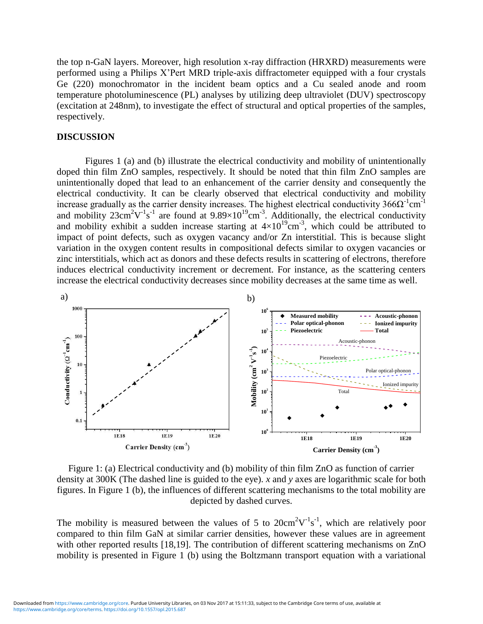the top n-GaN layers. Moreover, high resolution x-ray diffraction (HRXRD) measurements were performed using a Philips X'Pert MRD triple-axis diffractometer equipped with a four crystals Ge (220) monochromator in the incident beam optics and a Cu sealed anode and room temperature photoluminescence (PL) analyses by utilizing deep ultraviolet (DUV) spectroscopy (excitation at 248nm), to investigate the effect of structural and optical properties of the samples, respectively.

#### **DISCUSSION**

Figures 1 (a) and (b) illustrate the electrical conductivity and mobility of unintentionally doped thin film ZnO samples, respectively. It should be noted that thin film ZnO samples are unintentionally doped that lead to an enhancement of the carrier density and consequently the electrical conductivity. It can be clearly observed that electrical conductivity and mobility increase gradually as the carrier density increases. The highest electrical conductivity  $366\Omega^{-1}$ cm<sup>-1</sup> and mobility  $23 \text{cm}^2 \text{V}^{-1} \text{s}^{-1}$  are found at  $9.89 \times 10^{19} \text{cm}^{-3}$ . Additionally, the electrical conductivity and mobility exhibit a sudden increase starting at  $4\times10^{19}$ cm<sup>-3</sup>, which could be attributed to impact of point defects, such as oxygen vacancy and/or Zn interstitial. This is because slight variation in the oxygen content results in compositional defects similar to oxygen vacancies or zinc interstitials, which act as donors and these defects results in scattering of electrons, therefore induces electrical conductivity increment or decrement. For instance, as the scattering centers increase the electrical conductivity decreases since mobility decreases at the same time as well.



Figure 1: (a) Electrical conductivity and (b) mobility of thin film ZnO as function of carrier density at 300K (The dashed line is guided to the eye). *x* and *y* axes are logarithmic scale for both figures. In Figure 1 (b), the influences of different scattering mechanisms to the total mobility are depicted by dashed curves.

The mobility is measured between the values of 5 to  $20 \text{cm}^2 \text{V}^{-1} \text{s}^{-1}$ , which are relatively poor compared to thin film GaN at similar carrier densities, however these values are in agreement with other reported results [18,19]. The contribution of different scattering mechanisms on ZnO mobility is presented in Figure 1 (b) using the Boltzmann transport equation with a variational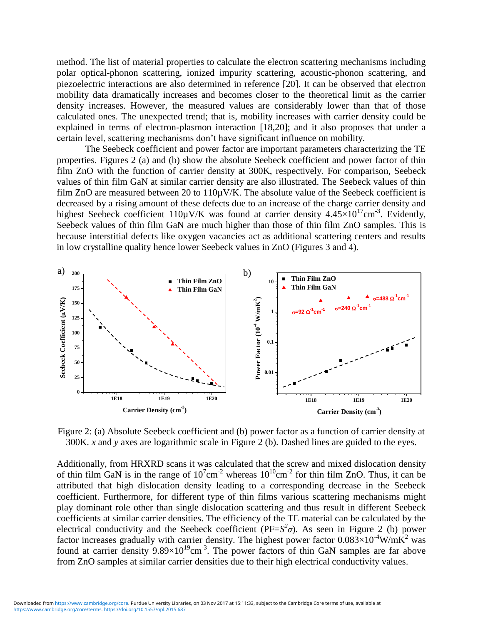method. The list of material properties to calculate the electron scattering mechanisms including polar optical-phonon scattering, ionized impurity scattering, acoustic-phonon scattering, and piezoelectric interactions are also determined in reference [20]. It can be observed that electron mobility data dramatically increases and becomes closer to the theoretical limit as the carrier density increases. However, the measured values are considerably lower than that of those calculated ones. The unexpected trend; that is, mobility increases with carrier density could be explained in terms of electron-plasmon interaction [18,20]; and it also proposes that under a certain level, scattering mechanisms don't have significant influence on mobility.

The Seebeck coefficient and power factor are important parameters characterizing the TE properties. Figures 2 (a) and (b) show the absolute Seebeck coefficient and power factor of thin film ZnO with the function of carrier density at 300K, respectively. For comparison, Seebeck values of thin film GaN at similar carrier density are also illustrated. The Seebeck values of thin film ZnO are measured between 20 to 110uV/K. The absolute value of the Seebeck coefficient is decreased by a rising amount of these defects due to an increase of the charge carrier density and highest Seebeck coefficient 110 $\mu$ V/K was found at carrier density 4.45 $\times$ 10<sup>17</sup>cm<sup>-3</sup>. Evidently, Seebeck values of thin film GaN are much higher than those of thin film ZnO samples. This is because interstitial defects like oxygen vacancies act as additional scattering centers and results in low crystalline quality hence lower Seebeck values in ZnO (Figures 3 and 4).



Figure 2: (a) Absolute Seebeck coefficient and (b) power factor as a function of carrier density at 300K. *x* and *y* axes are logarithmic scale in Figure 2 (b). Dashed lines are guided to the eyes.

Additionally, from HRXRD scans it was calculated that the screw and mixed dislocation density of thin film GaN is in the range of  $10^7$ cm<sup>-2</sup> whereas  $10^{10}$ cm<sup>-2</sup> for thin film ZnO. Thus, it can be attributed that high dislocation density leading to a corresponding decrease in the Seebeck coefficient. Furthermore, for different type of thin films various scattering mechanisms might play dominant role other than single dislocation scattering and thus result in different Seebeck coefficients at similar carrier densities. The efficiency of the TE material can be calculated by the electrical conductivity and the Seebeck coefficient ( $PF=S^2\sigma$ ). As seen in Figure 2 (b) power factor increases gradually with carrier density. The highest power factor  $0.083 \times 10^{-4}$ W/mK<sup>2</sup> was found at carrier density  $9.89 \times 10^{19}$  cm<sup>-3</sup>. The power factors of thin GaN samples are far above from ZnO samples at similar carrier densities due to their high electrical conductivity values.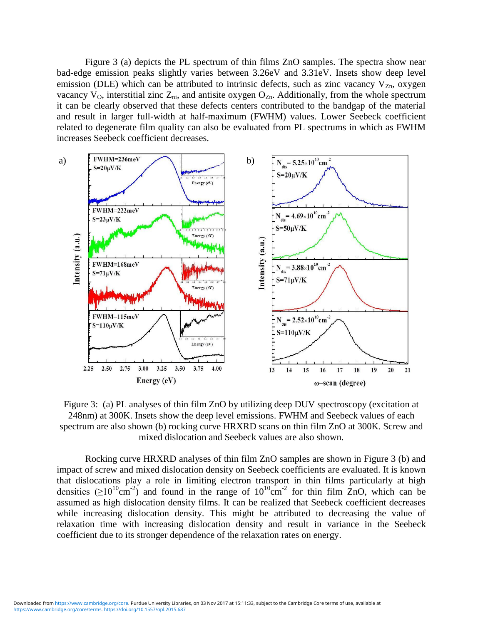Figure 3 (a) depicts the PL spectrum of thin films ZnO samples. The spectra show near bad-edge emission peaks slightly varies between 3.26eV and 3.31eV. Insets show deep level emission (DLE) which can be attributed to intrinsic defects, such as zinc vacancy  $V_{Zn}$ , oxygen vacancy  $V_O$ , interstitial zinc  $Z_{ni}$ , and antisite oxygen  $O_{Zn}$ . Additionally, from the whole spectrum it can be clearly observed that these defects centers contributed to the bandgap of the material and result in larger full-width at half-maximum (FWHM) values. Lower Seebeck coefficient related to degenerate film quality can also be evaluated from PL spectrums in which as FWHM increases Seebeck coefficient decreases.



Figure 3: (a) PL analyses of thin film ZnO by utilizing deep DUV spectroscopy (excitation at 248nm) at 300K. Insets show the deep level emissions. FWHM and Seebeck values of each spectrum are also shown (b) rocking curve HRXRD scans on thin film ZnO at 300K. Screw and mixed dislocation and Seebeck values are also shown.

Rocking curve HRXRD analyses of thin film ZnO samples are shown in Figure 3 (b) and impact of screw and mixed dislocation density on Seebeck coefficients are evaluated. It is known that dislocations play a role in limiting electron transport in thin films particularly at high densities  $(≥10^{10}cm<sup>-2</sup>)$  and found in the range of  $10^{10}cm<sup>-2</sup>$  for thin film ZnO, which can be assumed as high dislocation density films. It can be realized that Seebeck coefficient decreases while increasing dislocation density. This might be attributed to decreasing the value of relaxation time with increasing dislocation density and result in variance in the Seebeck coefficient due to its stronger dependence of the relaxation rates on energy.